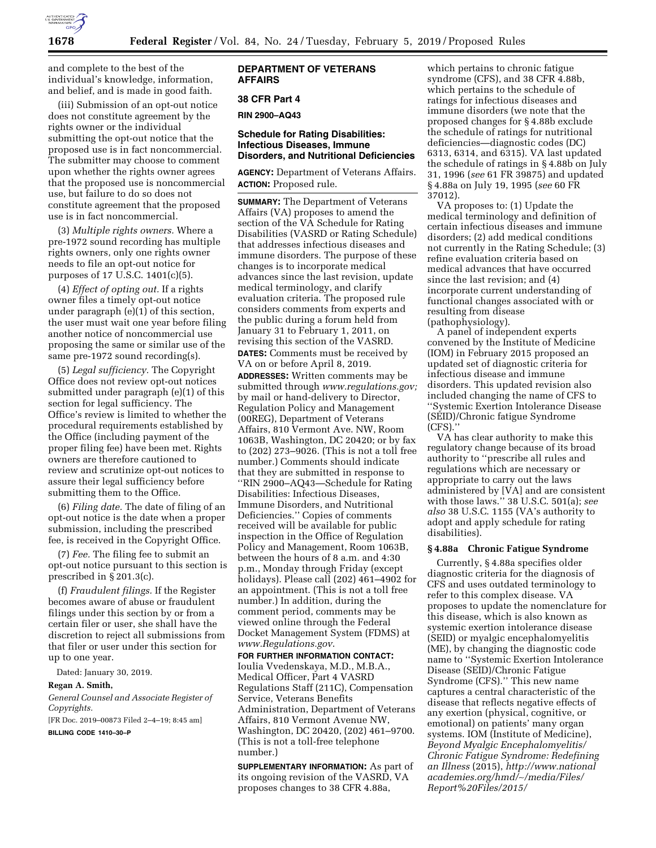

and complete to the best of the individual's knowledge, information, and belief, and is made in good faith.

(iii) Submission of an opt-out notice does not constitute agreement by the rights owner or the individual submitting the opt-out notice that the proposed use is in fact noncommercial. The submitter may choose to comment upon whether the rights owner agrees that the proposed use is noncommercial use, but failure to do so does not constitute agreement that the proposed use is in fact noncommercial.

(3) *Multiple rights owners.* Where a pre-1972 sound recording has multiple rights owners, only one rights owner needs to file an opt-out notice for purposes of 17 U.S.C. 1401(c)(5).

(4) *Effect of opting out.* If a rights owner files a timely opt-out notice under paragraph (e)(1) of this section, the user must wait one year before filing another notice of noncommercial use proposing the same or similar use of the same pre-1972 sound recording(s).

(5) *Legal sufficiency.* The Copyright Office does not review opt-out notices submitted under paragraph (e)(1) of this section for legal sufficiency. The Office's review is limited to whether the procedural requirements established by the Office (including payment of the proper filing fee) have been met. Rights owners are therefore cautioned to review and scrutinize opt-out notices to assure their legal sufficiency before submitting them to the Office.

(6) *Filing date.* The date of filing of an opt-out notice is the date when a proper submission, including the prescribed fee, is received in the Copyright Office.

(7) *Fee.* The filing fee to submit an opt-out notice pursuant to this section is prescribed in § 201.3(c).

(f) *Fraudulent filings.* If the Register becomes aware of abuse or fraudulent filings under this section by or from a certain filer or user, she shall have the discretion to reject all submissions from that filer or user under this section for up to one year.

Dated: January 30, 2019.

#### **Regan A. Smith,**

*General Counsel and Associate Register of Copyrights.* 

[FR Doc. 2019–00873 Filed 2–4–19; 8:45 am]

**BILLING CODE 1410–30–P** 

## **DEPARTMENT OF VETERANS AFFAIRS**

### **38 CFR Part 4**

**RIN 2900–AQ43** 

### **Schedule for Rating Disabilities: Infectious Diseases, Immune Disorders, and Nutritional Deficiencies**

**AGENCY:** Department of Veterans Affairs. **ACTION:** Proposed rule.

**SUMMARY:** The Department of Veterans Affairs (VA) proposes to amend the section of the VA Schedule for Rating Disabilities (VASRD or Rating Schedule) that addresses infectious diseases and immune disorders. The purpose of these changes is to incorporate medical advances since the last revision, update medical terminology, and clarify evaluation criteria. The proposed rule considers comments from experts and the public during a forum held from January 31 to February 1, 2011, on revising this section of the VASRD. **DATES:** Comments must be received by

VA on or before April 8, 2019. **ADDRESSES:** Written comments may be submitted through *[www.regulations.gov;](http://www.regulations.gov)*  by mail or hand-delivery to Director, Regulation Policy and Management (00REG), Department of Veterans Affairs, 810 Vermont Ave. NW, Room 1063B, Washington, DC 20420; or by fax to (202) 273–9026. (This is not a toll free number.) Comments should indicate that they are submitted in response to ''RIN 2900–AQ43—Schedule for Rating Disabilities: Infectious Diseases, Immune Disorders, and Nutritional Deficiencies.'' Copies of comments received will be available for public inspection in the Office of Regulation Policy and Management, Room 1063B, between the hours of 8 a.m. and 4:30 p.m., Monday through Friday (except holidays). Please call (202) 461–4902 for an appointment. (This is not a toll free number.) In addition, during the comment period, comments may be viewed online through the Federal Docket Management System (FDMS) at *[www.Regulations.gov](http://www.Regulations.gov)*.

**FOR FURTHER INFORMATION CONTACT:**  Ioulia Vvedenskaya, M.D., M.B.A., Medical Officer, Part 4 VASRD Regulations Staff (211C), Compensation Service, Veterans Benefits Administration, Department of Veterans Affairs, 810 Vermont Avenue NW, Washington, DC 20420, (202) 461–9700. (This is not a toll-free telephone number.)

**SUPPLEMENTARY INFORMATION:** As part of its ongoing revision of the VASRD, VA proposes changes to 38 CFR 4.88a,

which pertains to chronic fatigue syndrome (CFS), and 38 CFR 4.88b, which pertains to the schedule of ratings for infectious diseases and immune disorders (we note that the proposed changes for § 4.88b exclude the schedule of ratings for nutritional deficiencies—diagnostic codes (DC) 6313, 6314, and 6315). VA last updated the schedule of ratings in § 4.88b on July 31, 1996 (*see* 61 FR 39875) and updated § 4.88a on July 19, 1995 (*see* 60 FR 37012).

VA proposes to: (1) Update the medical terminology and definition of certain infectious diseases and immune disorders; (2) add medical conditions not currently in the Rating Schedule; (3) refine evaluation criteria based on medical advances that have occurred since the last revision; and (4) incorporate current understanding of functional changes associated with or resulting from disease (pathophysiology).

A panel of independent experts convened by the Institute of Medicine (IOM) in February 2015 proposed an updated set of diagnostic criteria for infectious disease and immune disorders. This updated revision also included changing the name of CFS to ''Systemic Exertion Intolerance Disease (SEID)/Chronic fatigue Syndrome (CFS).''

VA has clear authority to make this regulatory change because of its broad authority to ''prescribe all rules and regulations which are necessary or appropriate to carry out the laws administered by [VA] and are consistent with those laws.'' 38 U.S.C. 501(a); *see also* 38 U.S.C. 1155 (VA's authority to adopt and apply schedule for rating disabilities).

### **§ 4.88a Chronic Fatigue Syndrome**

Currently, § 4.88a specifies older diagnostic criteria for the diagnosis of CFS and uses outdated terminology to refer to this complex disease. VA proposes to update the nomenclature for this disease, which is also known as systemic exertion intolerance disease (SEID) or myalgic encephalomyelitis (ME), by changing the diagnostic code name to ''Systemic Exertion Intolerance Disease (SEID)/Chronic Fatigue Syndrome (CFS).'' This new name captures a central characteristic of the disease that reflects negative effects of any exertion (physical, cognitive, or emotional) on patients' many organ systems. IOM (Institute of Medicine), *Beyond Myalgic Encephalomyelitis/ Chronic Fatigue Syndrome: Redefining an Illness* (2015), *[http://www.national](http://www.nationalacademies.org/hmd/~/media/Files/Report%20Files/2015/) [academies.org/hmd/](http://www.nationalacademies.org/hmd/~/media/Files/Report%20Files/2015/)*∼*/media/Files/ [Report%20Files/2015/](http://www.nationalacademies.org/hmd/~/media/Files/Report%20Files/2015/)*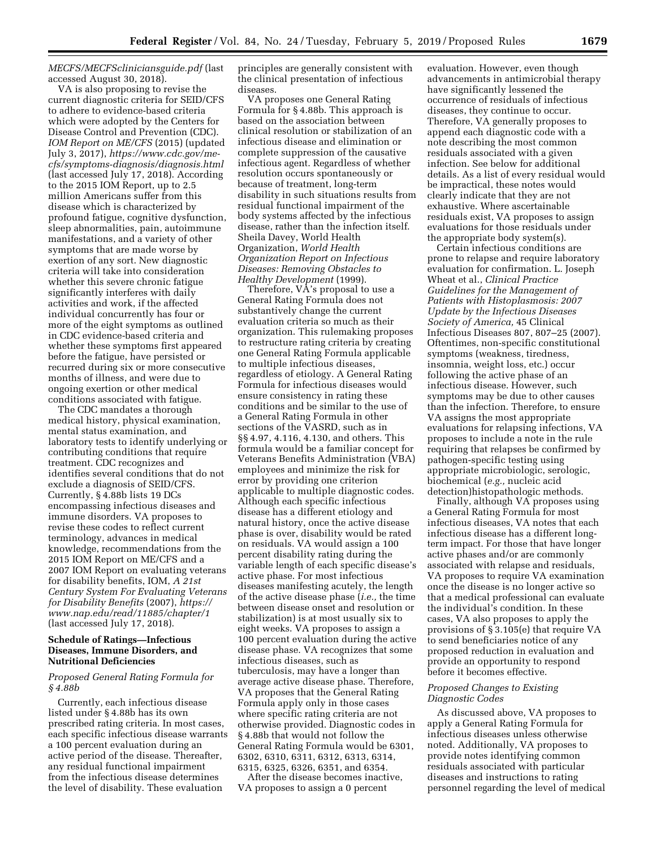# *MECFS/MECFScliniciansguide.pdf* (last accessed August 30, 2018).

VA is also proposing to revise the current diagnostic criteria for SEID/CFS to adhere to evidence-based criteria which were adopted by the Centers for Disease Control and Prevention (CDC). *IOM Report on ME/CFS* (2015) (updated July 3, 2017), *[https://www.cdc.gov/me](https://www.cdc.gov/me-cfs/symptoms-diagnosis/diagnosis.html)[cfs/symptoms-diagnosis/diagnosis.html](https://www.cdc.gov/me-cfs/symptoms-diagnosis/diagnosis.html)*  (last accessed July 17, 2018). According to the 2015 IOM Report, up to 2.5 million Americans suffer from this disease which is characterized by profound fatigue, cognitive dysfunction, sleep abnormalities, pain, autoimmune manifestations, and a variety of other symptoms that are made worse by exertion of any sort. New diagnostic criteria will take into consideration whether this severe chronic fatigue significantly interferes with daily activities and work, if the affected individual concurrently has four or more of the eight symptoms as outlined in CDC evidence-based criteria and whether these symptoms first appeared before the fatigue, have persisted or recurred during six or more consecutive months of illness, and were due to ongoing exertion or other medical conditions associated with fatigue.

The CDC mandates a thorough medical history, physical examination, mental status examination, and laboratory tests to identify underlying or contributing conditions that require treatment. CDC recognizes and identifies several conditions that do not exclude a diagnosis of SEID/CFS. Currently, § 4.88b lists 19 DCs encompassing infectious diseases and immune disorders. VA proposes to revise these codes to reflect current terminology, advances in medical knowledge, recommendations from the 2015 IOM Report on ME/CFS and a 2007 IOM Report on evaluating veterans for disability benefits, IOM, *A 21st Century System For Evaluating Veterans for Disability Benefits* (2007), *[https://](https://www.nap.edu/read/11885/chapter/1) [www.nap.edu/read/11885/chapter/1](https://www.nap.edu/read/11885/chapter/1)*  (last accessed July 17, 2018).

## **Schedule of Ratings—Infectious Diseases, Immune Disorders, and Nutritional Deficiencies**

### *Proposed General Rating Formula for § 4.88b*

Currently, each infectious disease listed under § 4.88b has its own prescribed rating criteria. In most cases, each specific infectious disease warrants a 100 percent evaluation during an active period of the disease. Thereafter, any residual functional impairment from the infectious disease determines the level of disability. These evaluation

principles are generally consistent with the clinical presentation of infectious diseases.

VA proposes one General Rating Formula for § 4.88b. This approach is based on the association between clinical resolution or stabilization of an infectious disease and elimination or complete suppression of the causative infectious agent. Regardless of whether resolution occurs spontaneously or because of treatment, long-term disability in such situations results from residual functional impairment of the body systems affected by the infectious disease, rather than the infection itself. Sheila Davey, World Health Organization, *World Health Organization Report on Infectious Diseases: Removing Obstacles to Healthy Development* (1999).

Therefore, VA's proposal to use a General Rating Formula does not substantively change the current evaluation criteria so much as their organization. This rulemaking proposes to restructure rating criteria by creating one General Rating Formula applicable to multiple infectious diseases, regardless of etiology. A General Rating Formula for infectious diseases would ensure consistency in rating these conditions and be similar to the use of a General Rating Formula in other sections of the VASRD, such as in §§ 4.97, 4.116, 4.130, and others. This formula would be a familiar concept for Veterans Benefits Administration (VBA) employees and minimize the risk for error by providing one criterion applicable to multiple diagnostic codes. Although each specific infectious disease has a different etiology and natural history, once the active disease phase is over, disability would be rated on residuals. VA would assign a 100 percent disability rating during the variable length of each specific disease's active phase. For most infectious diseases manifesting acutely, the length of the active disease phase (*i.e.,* the time between disease onset and resolution or stabilization) is at most usually six to eight weeks. VA proposes to assign a 100 percent evaluation during the active disease phase. VA recognizes that some infectious diseases, such as tuberculosis, may have a longer than average active disease phase. Therefore, VA proposes that the General Rating Formula apply only in those cases where specific rating criteria are not otherwise provided. Diagnostic codes in § 4.88b that would not follow the General Rating Formula would be 6301, 6302, 6310, 6311, 6312, 6313, 6314, 6315, 6325, 6326, 6351, and 6354.

After the disease becomes inactive, VA proposes to assign a 0 percent

evaluation. However, even though advancements in antimicrobial therapy have significantly lessened the occurrence of residuals of infectious diseases, they continue to occur. Therefore, VA generally proposes to append each diagnostic code with a note describing the most common residuals associated with a given infection. See below for additional details. As a list of every residual would be impractical, these notes would clearly indicate that they are not exhaustive. Where ascertainable residuals exist, VA proposes to assign evaluations for those residuals under the appropriate body system(s).

Certain infectious conditions are prone to relapse and require laboratory evaluation for confirmation. L. Joseph Wheat et al., *Clinical Practice Guidelines for the Management of Patients with Histoplasmosis: 2007 Update by the Infectious Diseases Society of America,* 45 Clinical Infectious Diseases 807, 807–25 (2007). Oftentimes, non-specific constitutional symptoms (weakness, tiredness, insomnia, weight loss, etc.) occur following the active phase of an infectious disease. However, such symptoms may be due to other causes than the infection. Therefore, to ensure VA assigns the most appropriate evaluations for relapsing infections, VA proposes to include a note in the rule requiring that relapses be confirmed by pathogen-specific testing using appropriate microbiologic, serologic, biochemical (*e.g.,* nucleic acid detection)histopathologic methods.

Finally, although VA proposes using a General Rating Formula for most infectious diseases, VA notes that each infectious disease has a different longterm impact. For those that have longer active phases and/or are commonly associated with relapse and residuals, VA proposes to require VA examination once the disease is no longer active so that a medical professional can evaluate the individual's condition. In these cases, VA also proposes to apply the provisions of § 3.105(e) that require VA to send beneficiaries notice of any proposed reduction in evaluation and provide an opportunity to respond before it becomes effective.

### *Proposed Changes to Existing Diagnostic Codes*

As discussed above, VA proposes to apply a General Rating Formula for infectious diseases unless otherwise noted. Additionally, VA proposes to provide notes identifying common residuals associated with particular diseases and instructions to rating personnel regarding the level of medical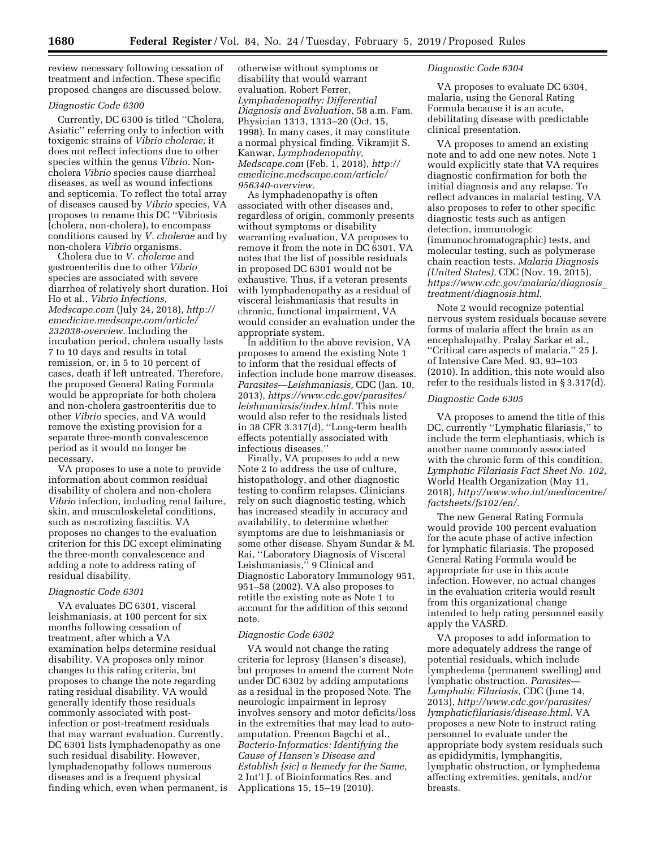review necessary following cessation of treatment and infection. These specific proposed changes are discussed below.

# *Diagnostic Code 6300*

Currently, DC 6300 is titled ''Cholera, Asiatic'' referring only to infection with toxigenic strains of *Vibrio cholerae;* it does not reflect infections due to other species within the genus *Vibrio.* Noncholera *Vibrio* species cause diarrheal diseases, as well as wound infections and septicemia. To reflect the total array of diseases caused by *Vibrio* species, VA proposes to rename this DC ''Vibriosis (cholera, non-cholera), to encompass conditions caused by *V. cholerae* and by non-cholera *Vibrio* organisms.

Cholera due to *V. cholerae* and gastroenteritis due to other *Vibrio*  species are associated with severe diarrhea of relatively short duration. Hoi Ho et al., *Vibrio Infections, Medscape.com* (July 24, 2018), *[http://](http://emedicine.medscape.com/article/232038-overview) [emedicine.medscape.com/article/](http://emedicine.medscape.com/article/232038-overview)  [232038-overview.](http://emedicine.medscape.com/article/232038-overview)* Including the incubation period, cholera usually lasts 7 to 10 days and results in total remission, or, in 5 to 10 percent of cases, death if left untreated. Therefore, the proposed General Rating Formula would be appropriate for both cholera and non-cholera gastroenteritis due to other *Vibrio* species, and VA would remove the existing provision for a separate three-month convalescence period as it would no longer be necessary.

VA proposes to use a note to provide information about common residual disability of cholera and non-cholera *Vibrio* infection, including renal failure, skin, and musculoskeletal conditions, such as necrotizing fasciitis. VA proposes no changes to the evaluation criterion for this DC except eliminating the three-month convalescence and adding a note to address rating of residual disability.

### *Diagnostic Code 6301*

VA evaluates DC 6301, visceral leishmaniasis, at 100 percent for six months following cessation of treatment, after which a VA examination helps determine residual disability. VA proposes only minor changes to this rating criteria, but proposes to change the note regarding rating residual disability. VA would generally identify those residuals commonly associated with postinfection or post-treatment residuals that may warrant evaluation. Currently, DC 6301 lists lymphadenopathy as one such residual disability. However, lymphadenopathy follows numerous diseases and is a frequent physical finding which, even when permanent, is otherwise without symptoms or disability that would warrant evaluation. Robert Ferrer, *Lymphadenopathy: Differential Diagnosis and Evaluation,* 58 a.m. Fam. Physician 1313, 1313–20 (Oct. 15, 1998). In many cases, it may constitute a normal physical finding. Vikramjit S. Kanwar, *Lymphadenopathy, Medscape.com* (Feb. 1, 2018), *[http://](http://emedicine.medscape.com/article/956340-overview) [emedicine.medscape.com/article/](http://emedicine.medscape.com/article/956340-overview)  [956340-overview.](http://emedicine.medscape.com/article/956340-overview)* 

As lymphadenopathy is often associated with other diseases and, regardless of origin, commonly presents without symptoms or disability warranting evaluation, VA proposes to remove it from the note in DC 6301. VA notes that the list of possible residuals in proposed DC 6301 would not be exhaustive. Thus, if a veteran presents with lymphadenopathy as a residual of visceral leishmaniasis that results in chronic, functional impairment, VA would consider an evaluation under the appropriate system.

In addition to the above revision, VA proposes to amend the existing Note 1 to inform that the residual effects of infection include bone marrow diseases. *Parasites—Leishmaniasis,* CDC (Jan. 10, 2013), *[https://www.cdc.gov/parasites/](https://www.cdc.gov/parasites/leishmaniasis/index.html) [leishmaniasis/index.html.](https://www.cdc.gov/parasites/leishmaniasis/index.html)* This note would also refer to the residuals listed in 38 CFR 3.317(d), ''Long-term health effects potentially associated with infectious diseases.''

Finally, VA proposes to add a new Note 2 to address the use of culture, histopathology, and other diagnostic testing to confirm relapses. Clinicians rely on such diagnostic testing, which has increased steadily in accuracy and availability, to determine whether symptoms are due to leishmaniasis or some other disease. Shyam Sundar & M. Rai, ''Laboratory Diagnosis of Visceral Leishmaniasis,'' 9 Clinical and Diagnostic Laboratory Immunology 951, 951–58 (2002). VA also proposes to retitle the existing note as Note 1 to account for the addition of this second note.

### *Diagnostic Code 6302*

VA would not change the rating criteria for leprosy (Hansen's disease), but proposes to amend the current Note under DC 6302 by adding amputations as a residual in the proposed Note. The neurologic impairment in leprosy involves sensory and motor deficits/loss in the extremities that may lead to autoamputation. Preenon Bagchi et al., *Bacterio-Informatics: Identifying the Cause of Hansen's Disease and Establish [sic] a Remedy for the Same,*  2 Int'l J. of Bioinformatics Res. and Applications 15, 15–19 (2010).

### *Diagnostic Code 6304*

VA proposes to evaluate DC 6304, malaria, using the General Rating Formula because it is an acute, debilitating disease with predictable clinical presentation.

VA proposes to amend an existing note and to add one new notes. Note 1 would explicitly state that VA requires diagnostic confirmation for both the initial diagnosis and any relapse. To reflect advances in malarial testing, VA also proposes to refer to other specific diagnostic tests such as antigen detection, immunologic (immunochromatographic) tests, and molecular testing, such as polymerase chain reaction tests. *Malaria Diagnosis (United States),* CDC (Nov. 19, 2015), *[https://www.cdc.gov/malaria/diagnosis](https://www.cdc.gov/malaria/diagnosis_treatment/diagnosis.html)*\_ *[treatment/diagnosis.html.](https://www.cdc.gov/malaria/diagnosis_treatment/diagnosis.html)* 

Note 2 would recognize potential nervous system residuals because severe forms of malaria affect the brain as an encephalopathy. Pralay Sarkar et al., ''Critical care aspects of malaria,'' 25 J. of Intensive Care Med. 93, 93–103 (2010). In addition, this note would also refer to the residuals listed in § 3.317(d).

## *Diagnostic Code 6305*

VA proposes to amend the title of this DC, currently ''Lymphatic filariasis,'' to include the term elephantiasis, which is another name commonly associated with the chronic form of this condition. *Lymphatic Filariasis Fact Sheet No. 102,*  World Health Organization (May 11, 2018), *[http://www.who.int/mediacentre/](http://www.who.int/mediacentre/factsheets/fs102/en/) [factsheets/fs102/en/.](http://www.who.int/mediacentre/factsheets/fs102/en/)* 

The new General Rating Formula would provide 100 percent evaluation for the acute phase of active infection for lymphatic filariasis. The proposed General Rating Formula would be appropriate for use in this acute infection. However, no actual changes in the evaluation criteria would result from this organizational change intended to help rating personnel easily apply the VASRD.

VA proposes to add information to more adequately address the range of potential residuals, which include lymphedema (permanent swelling) and lymphatic obstruction. *Parasites— Lymphatic Filariasis,* CDC (June 14, 2013), *[http://www.cdc.gov/parasites/](http://www.cdc.gov/parasites/lymphaticfilariasis/disease.html) [lymphaticfilariasis/disease.html.](http://www.cdc.gov/parasites/lymphaticfilariasis/disease.html)* VA proposes a new Note to instruct rating personnel to evaluate under the appropriate body system residuals such as epididymitis, lymphangitis, lymphatic obstruction, or lymphedema affecting extremities, genitals, and/or breasts.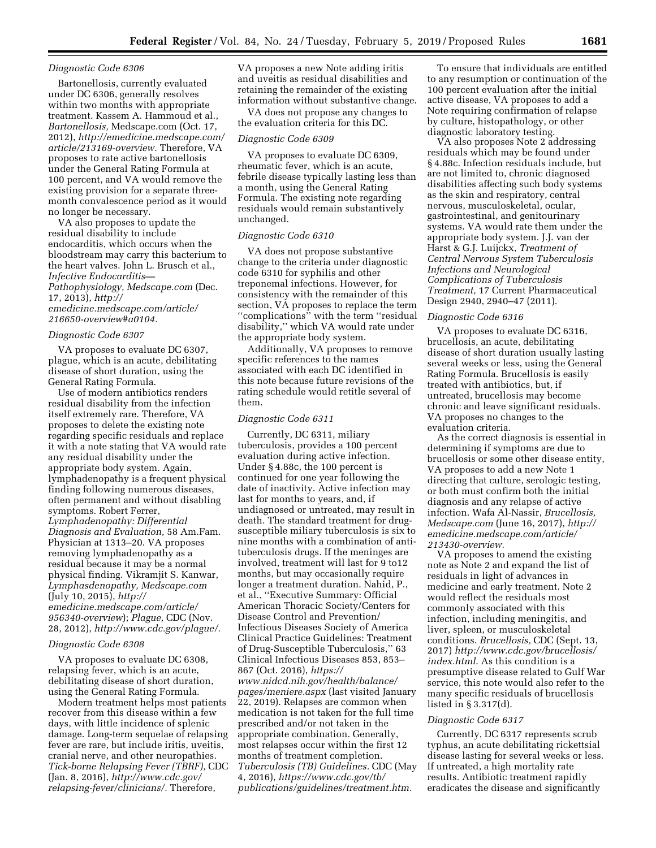### *Diagnostic Code 6306*

Bartonellosis, currently evaluated under DC 6306, generally resolves within two months with appropriate treatment. Kassem A. Hammoud et al., *Bartonellosis,* Medscape.com (Oct. 17, 2012), *[http://emedicine.medscape.com/](http://emedicine.medscape.com/article/213169-overview)  [article/213169-overview.](http://emedicine.medscape.com/article/213169-overview)* Therefore, VA proposes to rate active bartonellosis under the General Rating Formula at 100 percent, and VA would remove the existing provision for a separate threemonth convalescence period as it would no longer be necessary.

VA also proposes to update the residual disability to include endocarditis, which occurs when the bloodstream may carry this bacterium to the heart valves. John L. Brusch et al., *Infective Endocarditis— Pathophysiology, Medscape.com* (Dec. 17, 2013), *[http://](http://emedicine.medscape.com/article/216650-overview#a0104) [emedicine.medscape.com/article/](http://emedicine.medscape.com/article/216650-overview#a0104)  [216650-overview#a0104.](http://emedicine.medscape.com/article/216650-overview#a0104)* 

### *Diagnostic Code 6307*

VA proposes to evaluate DC 6307, plague, which is an acute, debilitating disease of short duration, using the General Rating Formula.

Use of modern antibiotics renders residual disability from the infection itself extremely rare. Therefore, VA proposes to delete the existing note regarding specific residuals and replace it with a note stating that VA would rate any residual disability under the appropriate body system. Again, lymphadenopathy is a frequent physical finding following numerous diseases, often permanent and without disabling symptoms. Robert Ferrer, *Lymphadenopathy: Differential Diagnosis and Evaluation,* 58 Am.Fam. Physician at 1313–20. VA proposes removing lymphadenopathy as a residual because it may be a normal physical finding. Vikramjit S. Kanwar, *Lymphasdenopathy, Medscape.com*  (July 10, 2015), *[http://](http://emedicine.medscape.com/article/956340-overview) [emedicine.medscape.com/article/](http://emedicine.medscape.com/article/956340-overview)  [956340-overview](http://emedicine.medscape.com/article/956340-overview)*); *Plague,* CDC (Nov. 28, 2012), *[http://www.cdc.gov/plague/.](http://www.cdc.gov/plague/)* 

### *Diagnostic Code 6308*

VA proposes to evaluate DC 6308, relapsing fever, which is an acute, debilitating disease of short duration, using the General Rating Formula.

Modern treatment helps most patients recover from this disease within a few days, with little incidence of splenic damage. Long-term sequelae of relapsing fever are rare, but include iritis, uveitis, cranial nerve, and other neuropathies. *Tick-borne Relapsing Fever (TBRF),* CDC (Jan. 8, 2016), *[http://www.cdc.gov/](http://www.cdc.gov/relapsing-fever/clinicians/) [relapsing-fever/clinicians/.](http://www.cdc.gov/relapsing-fever/clinicians/)* Therefore,

VA proposes a new Note adding iritis and uveitis as residual disabilities and retaining the remainder of the existing information without substantive change.

VA does not propose any changes to the evaluation criteria for this DC.

### *Diagnostic Code 6309*

VA proposes to evaluate DC 6309, rheumatic fever, which is an acute, febrile disease typically lasting less than a month, using the General Rating Formula. The existing note regarding residuals would remain substantively unchanged.

## *Diagnostic Code 6310*

VA does not propose substantive change to the criteria under diagnostic code 6310 for syphilis and other treponemal infections. However, for consistency with the remainder of this section, VA proposes to replace the term ''complications'' with the term ''residual disability,'' which VA would rate under the appropriate body system.

Additionally, VA proposes to remove specific references to the names associated with each DC identified in this note because future revisions of the rating schedule would retitle several of them.

### *Diagnostic Code 6311*

Currently, DC 6311, miliary tuberculosis, provides a 100 percent evaluation during active infection. Under § 4.88c, the 100 percent is continued for one year following the date of inactivity. Active infection may last for months to years, and, if undiagnosed or untreated, may result in death. The standard treatment for drugsusceptible miliary tuberculosis is six to nine months with a combination of antituberculosis drugs. If the meninges are involved, treatment will last for 9 to12 months, but may occasionally require longer a treatment duration. Nahid, P., et al., ''Executive Summary: Official American Thoracic Society/Centers for Disease Control and Prevention/ Infectious Diseases Society of America Clinical Practice Guidelines: Treatment of Drug-Susceptible Tuberculosis,'' 63 Clinical Infectious Diseases 853, 853– 867 (Oct. 2016), *[https://](https://www.nidcd.nih.gov/health/balance/pages/meniere.aspx) [www.nidcd.nih.gov/health/balance/](https://www.nidcd.nih.gov/health/balance/pages/meniere.aspx) [pages/meniere.aspx](https://www.nidcd.nih.gov/health/balance/pages/meniere.aspx)* (last visited January 22, 2019). Relapses are common when medication is not taken for the full time prescribed and/or not taken in the appropriate combination. Generally, most relapses occur within the first 12 months of treatment completion. *Tuberculosis (TB) Guidelines.* CDC (May 4, 2016), *[https://www.cdc.gov/tb/](https://www.cdc.gov/tb/publications/guidelines/treatment.htm)  [publications/guidelines/treatment.htm.](https://www.cdc.gov/tb/publications/guidelines/treatment.htm)* 

To ensure that individuals are entitled to any resumption or continuation of the 100 percent evaluation after the initial active disease, VA proposes to add a Note requiring confirmation of relapse by culture, histopathology, or other diagnostic laboratory testing.

VA also proposes Note 2 addressing residuals which may be found under § 4.88c. Infection residuals include, but are not limited to, chronic diagnosed disabilities affecting such body systems as the skin and respiratory, central nervous, musculoskeletal, ocular, gastrointestinal, and genitourinary systems. VA would rate them under the appropriate body system. J.J. van der Harst & G.J. Luijckx, *Treatment of Central Nervous System Tuberculosis Infections and Neurological Complications of Tuberculosis Treatment,* 17 Current Pharmaceutical Design 2940, 2940–47 (2011).

### *Diagnostic Code 6316*

VA proposes to evaluate DC 6316, brucellosis, an acute, debilitating disease of short duration usually lasting several weeks or less, using the General Rating Formula. Brucellosis is easily treated with antibiotics, but, if untreated, brucellosis may become chronic and leave significant residuals. VA proposes no changes to the evaluation criteria.

As the correct diagnosis is essential in determining if symptoms are due to brucellosis or some other disease entity, VA proposes to add a new Note 1 directing that culture, serologic testing, or both must confirm both the initial diagnosis and any relapse of active infection. Wafa Al-Nassir, *Brucellosis, Medscape.com* (June 16, 2017), *[http://](http://emedicine.medscape.com/article/213430-overview) [emedicine.medscape.com/article/](http://emedicine.medscape.com/article/213430-overview)  [213430-overview.](http://emedicine.medscape.com/article/213430-overview)* 

VA proposes to amend the existing note as Note 2 and expand the list of residuals in light of advances in medicine and early treatment. Note 2 would reflect the residuals most commonly associated with this infection, including meningitis, and liver, spleen, or musculoskeletal conditions. *Brucellosis,* CDC (Sept. 13, 2017) *[http://www.cdc.gov/brucellosis/](http://www.cdc.gov/brucellosis/index.html)  [index.html](http://www.cdc.gov/brucellosis/index.html)*. As this condition is a presumptive disease related to Gulf War service, this note would also refer to the many specific residuals of brucellosis listed in § 3.317(d).

#### *Diagnostic Code 6317*

Currently, DC 6317 represents scrub typhus, an acute debilitating rickettsial disease lasting for several weeks or less. If untreated, a high mortality rate results. Antibiotic treatment rapidly eradicates the disease and significantly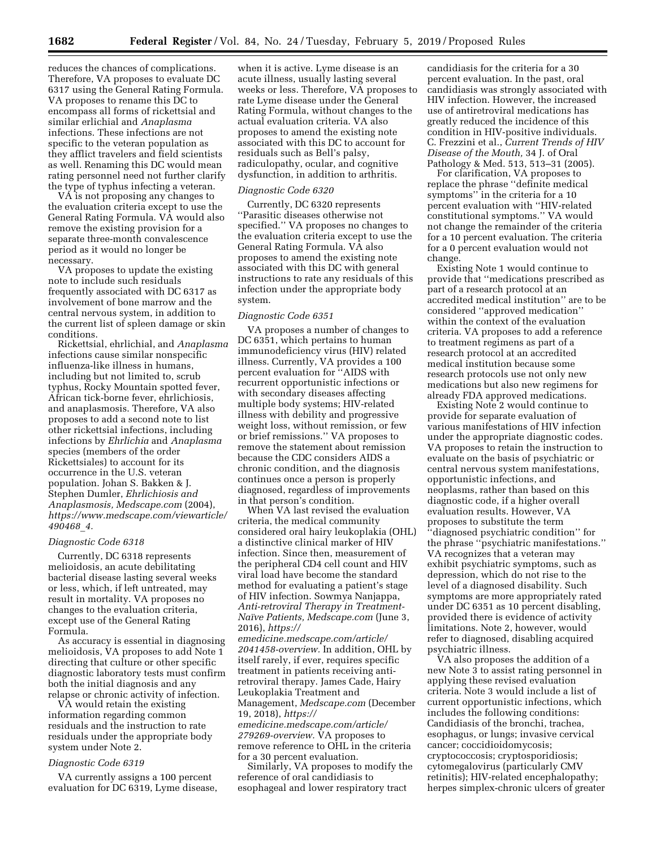reduces the chances of complications. Therefore, VA proposes to evaluate DC 6317 using the General Rating Formula. VA proposes to rename this DC to encompass all forms of rickettsial and similar erlichial and *Anaplasma*  infections. These infections are not specific to the veteran population as they afflict travelers and field scientists as well. Renaming this DC would mean rating personnel need not further clarify the type of typhus infecting a veteran.

VA is not proposing any changes to the evaluation criteria except to use the General Rating Formula. VA would also remove the existing provision for a separate three-month convalescence period as it would no longer be necessary.

VA proposes to update the existing note to include such residuals frequently associated with DC 6317 as involvement of bone marrow and the central nervous system, in addition to the current list of spleen damage or skin conditions.

Rickettsial, ehrlichial, and *Anaplasma*  infections cause similar nonspecific influenza-like illness in humans, including but not limited to, scrub typhus, Rocky Mountain spotted fever, African tick-borne fever, ehrlichiosis, and anaplasmosis. Therefore, VA also proposes to add a second note to list other rickettsial infections, including infections by *Ehrlichia* and *Anaplasma*  species (members of the order Rickettsiales) to account for its occurrence in the U.S. veteran population. Johan S. Bakken & J. Stephen Dumler, *Ehrlichiosis and Anaplasmosis, Medscape.com* (2004), *[https://www.medscape.com/viewarticle/](https://www.medscape.com/viewarticle/490468_4)  [490468](https://www.medscape.com/viewarticle/490468_4)*\_*4.* 

### *Diagnostic Code 6318*

Currently, DC 6318 represents melioidosis, an acute debilitating bacterial disease lasting several weeks or less, which, if left untreated, may result in mortality. VA proposes no changes to the evaluation criteria, except use of the General Rating Formula.

As accuracy is essential in diagnosing melioidosis, VA proposes to add Note 1 directing that culture or other specific diagnostic laboratory tests must confirm both the initial diagnosis and any relapse or chronic activity of infection.

VA would retain the existing information regarding common residuals and the instruction to rate residuals under the appropriate body system under Note 2.

#### *Diagnostic Code 6319*

VA currently assigns a 100 percent evaluation for DC 6319, Lyme disease,

when it is active. Lyme disease is an acute illness, usually lasting several weeks or less. Therefore, VA proposes to rate Lyme disease under the General Rating Formula, without changes to the actual evaluation criteria. VA also proposes to amend the existing note associated with this DC to account for residuals such as Bell's palsy, radiculopathy, ocular, and cognitive dysfunction, in addition to arthritis.

#### *Diagnostic Code 6320*

Currently, DC 6320 represents ''Parasitic diseases otherwise not specified.'' VA proposes no changes to the evaluation criteria except to use the General Rating Formula. VA also proposes to amend the existing note associated with this DC with general instructions to rate any residuals of this infection under the appropriate body system.

### *Diagnostic Code 6351*

VA proposes a number of changes to DC 6351, which pertains to human immunodeficiency virus (HIV) related illness. Currently, VA provides a 100 percent evaluation for ''AIDS with recurrent opportunistic infections or with secondary diseases affecting multiple body systems; HIV-related illness with debility and progressive weight loss, without remission, or few or brief remissions.'' VA proposes to remove the statement about remission because the CDC considers AIDS a chronic condition, and the diagnosis continues once a person is properly diagnosed, regardless of improvements in that person's condition.

When VA last revised the evaluation criteria, the medical community considered oral hairy leukoplakia (OHL) a distinctive clinical marker of HIV infection. Since then, measurement of the peripheral CD4 cell count and HIV viral load have become the standard method for evaluating a patient's stage of HIV infection. Sowmya Nanjappa, *Anti-retroviral Therapy in Treatment-Naı¨ve Patients, Medscape.com* (June 3, 2016), *[https://](https://emedicine.medscape.com/article/2041458-overview)*

*[emedicine.medscape.com/article/](https://emedicine.medscape.com/article/2041458-overview)  [2041458-overview.](https://emedicine.medscape.com/article/2041458-overview)* In addition, OHL by itself rarely, if ever, requires specific treatment in patients receiving antiretroviral therapy. James Cade, Hairy Leukoplakia Treatment and Management, *Medscape.com* (December 19, 2018), *[https://](https://emedicine.medscape.com/article/279269-overview)*

*[emedicine.medscape.com/article/](https://emedicine.medscape.com/article/279269-overview)  [279269-overview.](https://emedicine.medscape.com/article/279269-overview)* VA proposes to remove reference to OHL in the criteria for a 30 percent evaluation.

Similarly, VA proposes to modify the reference of oral candidiasis to esophageal and lower respiratory tract

candidiasis for the criteria for a 30 percent evaluation. In the past, oral candidiasis was strongly associated with HIV infection. However, the increased use of antiretroviral medications has greatly reduced the incidence of this condition in HIV-positive individuals. C. Frezzini et al., *Current Trends of HIV Disease of the Mouth,* 34 J. of Oral Pathology & Med. 513, 513–31 (2005).

For clarification, VA proposes to replace the phrase ''definite medical symptoms'' in the criteria for a 10 percent evaluation with ''HIV-related constitutional symptoms.'' VA would not change the remainder of the criteria for a 10 percent evaluation. The criteria for a 0 percent evaluation would not change.

Existing Note 1 would continue to provide that ''medications prescribed as part of a research protocol at an accredited medical institution'' are to be considered ''approved medication'' within the context of the evaluation criteria. VA proposes to add a reference to treatment regimens as part of a research protocol at an accredited medical institution because some research protocols use not only new medications but also new regimens for already FDA approved medications.

Existing Note 2 would continue to provide for separate evaluation of various manifestations of HIV infection under the appropriate diagnostic codes. VA proposes to retain the instruction to evaluate on the basis of psychiatric or central nervous system manifestations, opportunistic infections, and neoplasms, rather than based on this diagnostic code, if a higher overall evaluation results. However, VA proposes to substitute the term ''diagnosed psychiatric condition'' for the phrase ''psychiatric manifestations.'' VA recognizes that a veteran may exhibit psychiatric symptoms, such as depression, which do not rise to the level of a diagnosed disability. Such symptoms are more appropriately rated under DC 6351 as 10 percent disabling, provided there is evidence of activity limitations. Note 2, however, would refer to diagnosed, disabling acquired psychiatric illness.

VA also proposes the addition of a new Note 3 to assist rating personnel in applying these revised evaluation criteria. Note 3 would include a list of current opportunistic infections, which includes the following conditions: Candidiasis of the bronchi, trachea, esophagus, or lungs; invasive cervical cancer; coccidioidomycosis; cryptococcosis; cryptosporidiosis; cytomegalovirus (particularly CMV retinitis); HIV-related encephalopathy; herpes simplex-chronic ulcers of greater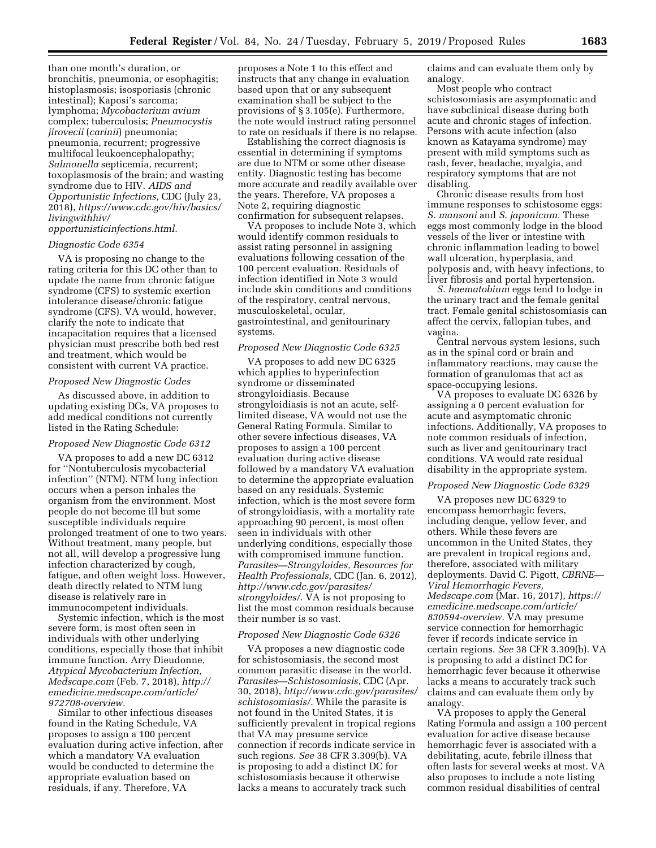than one month's duration, or bronchitis, pneumonia, or esophagitis; histoplasmosis; isosporiasis (chronic intestinal); Kaposi's sarcoma; lymphoma; *Mycobacterium avium*  complex; tuberculosis; *Pneumocystis jirovecii* (*carinii*) pneumonia; pneumonia, recurrent; progressive multifocal leukoencephalopathy; *Salmonella* septicemia, recurrent; toxoplasmosis of the brain; and wasting syndrome due to HIV. *AIDS and Opportunistic Infections,* CDC (July 23, 2018), *[https://www.cdc.gov/hiv/basics/](https://www.cdc.gov/hiv/basics/livingwithhiv/opportunisticinfections.html)  [livingwithhiv/](https://www.cdc.gov/hiv/basics/livingwithhiv/opportunisticinfections.html)* 

# *[opportunisticinfections.html.](https://www.cdc.gov/hiv/basics/livingwithhiv/opportunisticinfections.html)*

### *Diagnostic Code 6354*

VA is proposing no change to the rating criteria for this DC other than to update the name from chronic fatigue syndrome (CFS) to systemic exertion intolerance disease/chronic fatigue syndrome (CFS). VA would, however, clarify the note to indicate that incapacitation requires that a licensed physician must prescribe both bed rest and treatment, which would be consistent with current VA practice.

### *Proposed New Diagnostic Codes*

As discussed above, in addition to updating existing DCs, VA proposes to add medical conditions not currently listed in the Rating Schedule:

### *Proposed New Diagnostic Code 6312*

VA proposes to add a new DC 6312 for ''Nontuberculosis mycobacterial infection'' (NTM). NTM lung infection occurs when a person inhales the organism from the environment. Most people do not become ill but some susceptible individuals require prolonged treatment of one to two years. Without treatment, many people, but not all, will develop a progressive lung infection characterized by cough, fatigue, and often weight loss. However, death directly related to NTM lung disease is relatively rare in immunocompetent individuals.

Systemic infection, which is the most severe form, is most often seen in individuals with other underlying conditions, especially those that inhibit immune function. Arry Dieudonne, *Atypical Mycobacterium Infection, Medscape.com* (Feb. 7, 2018), *[http://](http://emedicine.medscape.com/article/972708-overview) [emedicine.medscape.com/article/](http://emedicine.medscape.com/article/972708-overview)  [972708-overview.](http://emedicine.medscape.com/article/972708-overview)* 

Similar to other infectious diseases found in the Rating Schedule, VA proposes to assign a 100 percent evaluation during active infection, after which a mandatory VA evaluation would be conducted to determine the appropriate evaluation based on residuals, if any. Therefore, VA

proposes a Note 1 to this effect and instructs that any change in evaluation based upon that or any subsequent examination shall be subject to the provisions of § 3.105(e). Furthermore, the note would instruct rating personnel to rate on residuals if there is no relapse.

Establishing the correct diagnosis is essential in determining if symptoms are due to NTM or some other disease entity. Diagnostic testing has become more accurate and readily available over the years. Therefore, VA proposes a Note 2, requiring diagnostic confirmation for subsequent relapses.

VA proposes to include Note 3, which would identify common residuals to assist rating personnel in assigning evaluations following cessation of the 100 percent evaluation. Residuals of infection identified in Note 3 would include skin conditions and conditions of the respiratory, central nervous, musculoskeletal, ocular, gastrointestinal, and genitourinary systems.

### *Proposed New Diagnostic Code 6325*

VA proposes to add new DC 6325 which applies to hyperinfection syndrome or disseminated strongyloidiasis. Because strongyloidiasis is not an acute, selflimited disease, VA would not use the General Rating Formula. Similar to other severe infectious diseases, VA proposes to assign a 100 percent evaluation during active disease followed by a mandatory VA evaluation to determine the appropriate evaluation based on any residuals. Systemic infection, which is the most severe form of strongyloidiasis, with a mortality rate approaching 90 percent, is most often seen in individuals with other underlying conditions, especially those with compromised immune function. *Parasites—Strongyloides, Resources for Health Professionals,* CDC (Jan. 6, 2012), *[http://www.cdc.gov/parasites/](http://www.cdc.gov/parasites/strongyloides/) [strongyloides/.](http://www.cdc.gov/parasites/strongyloides/)* VA is not proposing to list the most common residuals because their number is so vast.

#### *Proposed New Diagnostic Code 6326*

VA proposes a new diagnostic code for schistosomiasis, the second most common parasitic disease in the world. *Parasites—Schistosomiasis,* CDC (Apr. 30, 2018), *[http://www.cdc.gov/parasites/](http://www.cdc.gov/parasites/schistosomiasis/)  [schistosomiasis/.](http://www.cdc.gov/parasites/schistosomiasis/)* While the parasite is not found in the United States, it is sufficiently prevalent in tropical regions that VA may presume service connection if records indicate service in such regions. *See* 38 CFR 3.309(b). VA is proposing to add a distinct DC for schistosomiasis because it otherwise lacks a means to accurately track such

claims and can evaluate them only by analogy.

Most people who contract schistosomiasis are asymptomatic and have subclinical disease during both acute and chronic stages of infection. Persons with acute infection (also known as Katayama syndrome) may present with mild symptoms such as rash, fever, headache, myalgia, and respiratory symptoms that are not disabling.

Chronic disease results from host immune responses to schistosome eggs: *S. mansoni* and *S. japonicum.* These eggs most commonly lodge in the blood vessels of the liver or intestine with chronic inflammation leading to bowel wall ulceration, hyperplasia, and polyposis and, with heavy infections, to liver fibrosis and portal hypertension.

*S. haematobium* eggs tend to lodge in the urinary tract and the female genital tract. Female genital schistosomiasis can affect the cervix, fallopian tubes, and vagina.

Central nervous system lesions, such as in the spinal cord or brain and inflammatory reactions, may cause the formation of granulomas that act as space-occupying lesions.

VA proposes to evaluate DC 6326 by assigning a 0 percent evaluation for acute and asymptomatic chronic infections. Additionally, VA proposes to note common residuals of infection, such as liver and genitourinary tract conditions. VA would rate residual disability in the appropriate system.

#### *Proposed New Diagnostic Code 6329*

VA proposes new DC 6329 to encompass hemorrhagic fevers, including dengue, yellow fever, and others. While these fevers are uncommon in the United States, they are prevalent in tropical regions and, therefore, associated with military deployments. David C. Pigott, *CBRNE— Viral Hemorrhagic Fevers, Medscape.com* (Mar. 16, 2017), *[https://](https://emedicine.medscape.com/article/830594-overview)  [emedicine.medscape.com/article/](https://emedicine.medscape.com/article/830594-overview)  [830594-overview.](https://emedicine.medscape.com/article/830594-overview)* VA may presume service connection for hemorrhagic fever if records indicate service in certain regions. *See* 38 CFR 3.309(b). VA is proposing to add a distinct DC for hemorrhagic fever because it otherwise lacks a means to accurately track such claims and can evaluate them only by analogy.

VA proposes to apply the General Rating Formula and assign a 100 percent evaluation for active disease because hemorrhagic fever is associated with a debilitating, acute, febrile illness that often lasts for several weeks at most. VA also proposes to include a note listing common residual disabilities of central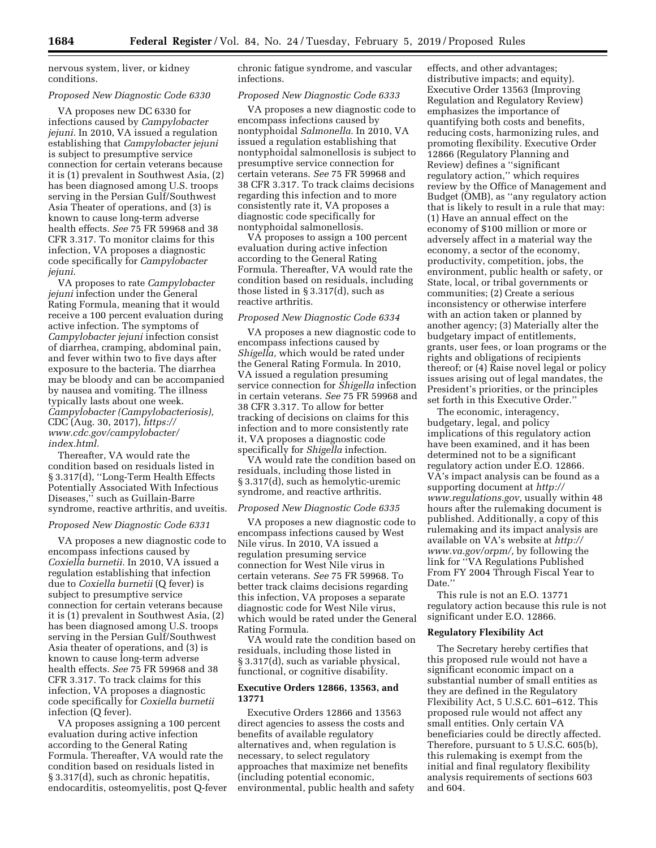nervous system, liver, or kidney conditions.

### *Proposed New Diagnostic Code 6330*

VA proposes new DC 6330 for infections caused by *Campylobacter jejuni.* In 2010, VA issued a regulation establishing that *Campylobacter jejuni*  is subject to presumptive service connection for certain veterans because it is (1) prevalent in Southwest Asia, (2) has been diagnosed among U.S. troops serving in the Persian Gulf/Southwest Asia Theater of operations, and (3) is known to cause long-term adverse health effects. *See* 75 FR 59968 and 38 CFR 3.317. To monitor claims for this infection, VA proposes a diagnostic code specifically for *Campylobacter jejuni.* 

VA proposes to rate *Campylobacter jejuni* infection under the General Rating Formula, meaning that it would receive a 100 percent evaluation during active infection. The symptoms of *Campylobacter jejuni* infection consist of diarrhea, cramping, abdominal pain, and fever within two to five days after exposure to the bacteria. The diarrhea may be bloody and can be accompanied by nausea and vomiting. The illness typically lasts about one week. *Campylobacter (Campylobacteriosis),*  CDC (Aug. 30, 2017), *[https://](https://www.cdc.gov/campylobacter/index.html) [www.cdc.gov/campylobacter/](https://www.cdc.gov/campylobacter/index.html) [index.html.](https://www.cdc.gov/campylobacter/index.html)* 

Thereafter, VA would rate the condition based on residuals listed in § 3.317(d), ''Long-Term Health Effects Potentially Associated With Infectious Diseases,'' such as Guillain-Barre syndrome, reactive arthritis, and uveitis.

### *Proposed New Diagnostic Code 6331*

VA proposes a new diagnostic code to encompass infections caused by *Coxiella burnetii.* In 2010, VA issued a regulation establishing that infection due to *Coxiella burnetii* (Q fever) is subject to presumptive service connection for certain veterans because it is (1) prevalent in Southwest Asia, (2) has been diagnosed among U.S. troops serving in the Persian Gulf/Southwest Asia theater of operations, and (3) is known to cause long-term adverse health effects. *See* 75 FR 59968 and 38 CFR 3.317. To track claims for this infection, VA proposes a diagnostic code specifically for *Coxiella burnetii*  infection (Q fever).

VA proposes assigning a 100 percent evaluation during active infection according to the General Rating Formula. Thereafter, VA would rate the condition based on residuals listed in § 3.317(d), such as chronic hepatitis, endocarditis, osteomyelitis, post Q-fever chronic fatigue syndrome, and vascular infections.

# *Proposed New Diagnostic Code 6333*

VA proposes a new diagnostic code to encompass infections caused by nontyphoidal *Salmonella.* In 2010, VA issued a regulation establishing that nontyphoidal salmonellosis is subject to presumptive service connection for certain veterans. *See* 75 FR 59968 and 38 CFR 3.317. To track claims decisions regarding this infection and to more consistently rate it, VA proposes a diagnostic code specifically for nontyphoidal salmonellosis.

VA proposes to assign a 100 percent evaluation during active infection according to the General Rating Formula. Thereafter, VA would rate the condition based on residuals, including those listed in § 3.317(d), such as reactive arthritis.

#### *Proposed New Diagnostic Code 6334*

VA proposes a new diagnostic code to encompass infections caused by *Shigella,* which would be rated under the General Rating Formula. In 2010, VA issued a regulation presuming service connection for *Shigella* infection in certain veterans. *See* 75 FR 59968 and 38 CFR 3.317. To allow for better tracking of decisions on claims for this infection and to more consistently rate it, VA proposes a diagnostic code specifically for *Shigella* infection.

VA would rate the condition based on residuals, including those listed in § 3.317(d), such as hemolytic-uremic syndrome, and reactive arthritis.

#### *Proposed New Diagnostic Code 6335*

VA proposes a new diagnostic code to encompass infections caused by West Nile virus. In 2010, VA issued a regulation presuming service connection for West Nile virus in certain veterans. *See* 75 FR 59968. To better track claims decisions regarding this infection, VA proposes a separate diagnostic code for West Nile virus, which would be rated under the General Rating Formula.

VA would rate the condition based on residuals, including those listed in § 3.317(d), such as variable physical, functional, or cognitive disability.

### **Executive Orders 12866, 13563, and 13771**

Executive Orders 12866 and 13563 direct agencies to assess the costs and benefits of available regulatory alternatives and, when regulation is necessary, to select regulatory approaches that maximize net benefits (including potential economic, environmental, public health and safety

effects, and other advantages; distributive impacts; and equity). Executive Order 13563 (Improving Regulation and Regulatory Review) emphasizes the importance of quantifying both costs and benefits, reducing costs, harmonizing rules, and promoting flexibility. Executive Order 12866 (Regulatory Planning and Review) defines a ''significant regulatory action,'' which requires review by the Office of Management and Budget (OMB), as ''any regulatory action that is likely to result in a rule that may: (1) Have an annual effect on the economy of \$100 million or more or adversely affect in a material way the economy, a sector of the economy, productivity, competition, jobs, the environment, public health or safety, or State, local, or tribal governments or communities; (2) Create a serious inconsistency or otherwise interfere with an action taken or planned by another agency; (3) Materially alter the budgetary impact of entitlements, grants, user fees, or loan programs or the rights and obligations of recipients thereof; or (4) Raise novel legal or policy issues arising out of legal mandates, the President's priorities, or the principles set forth in this Executive Order.''

The economic, interagency, budgetary, legal, and policy implications of this regulatory action have been examined, and it has been determined not to be a significant regulatory action under E.O. 12866. VA's impact analysis can be found as a supporting document at *[http://](http://www.regulations.gov) [www.regulations.gov,](http://www.regulations.gov)* usually within 48 hours after the rulemaking document is published. Additionally, a copy of this rulemaking and its impact analysis are available on VA's website at *[http://](http://www.va.gov/orpm/) [www.va.gov/orpm/,](http://www.va.gov/orpm/)* by following the link for ''VA Regulations Published From FY 2004 Through Fiscal Year to Date.''

This rule is not an E.O. 13771 regulatory action because this rule is not significant under E.O. 12866.

### **Regulatory Flexibility Act**

The Secretary hereby certifies that this proposed rule would not have a significant economic impact on a substantial number of small entities as they are defined in the Regulatory Flexibility Act, 5 U.S.C. 601–612. This proposed rule would not affect any small entities. Only certain VA beneficiaries could be directly affected. Therefore, pursuant to 5 U.S.C. 605(b), this rulemaking is exempt from the initial and final regulatory flexibility analysis requirements of sections 603 and 604.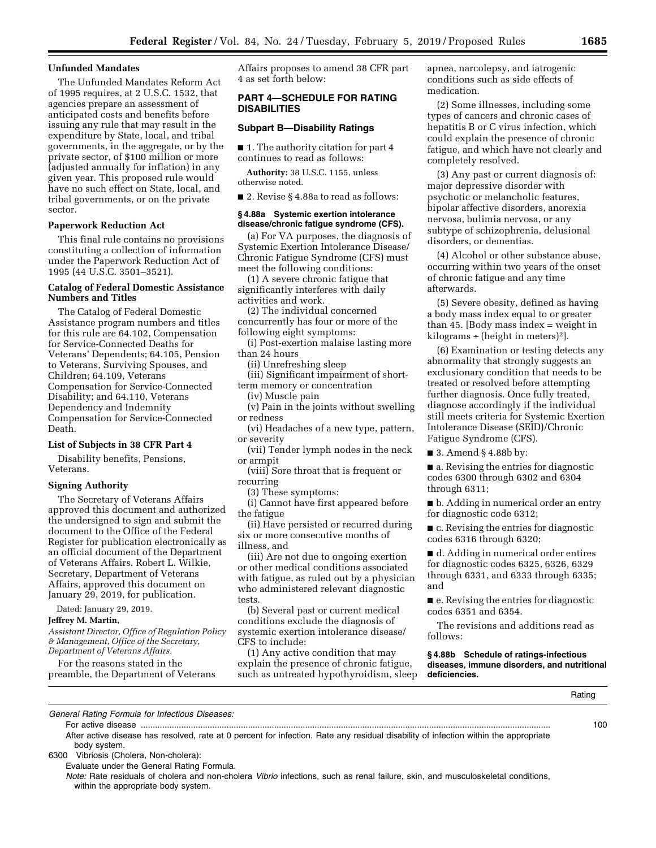### **Unfunded Mandates**

The Unfunded Mandates Reform Act of 1995 requires, at 2 U.S.C. 1532, that agencies prepare an assessment of anticipated costs and benefits before issuing any rule that may result in the expenditure by State, local, and tribal governments, in the aggregate, or by the private sector, of \$100 million or more (adjusted annually for inflation) in any given year. This proposed rule would have no such effect on State, local, and tribal governments, or on the private sector.

## **Paperwork Reduction Act**

This final rule contains no provisions constituting a collection of information under the Paperwork Reduction Act of 1995 (44 U.S.C. 3501–3521).

## **Catalog of Federal Domestic Assistance Numbers and Titles**

The Catalog of Federal Domestic Assistance program numbers and titles for this rule are 64.102, Compensation for Service-Connected Deaths for Veterans' Dependents; 64.105, Pension to Veterans, Surviving Spouses, and Children; 64.109, Veterans Compensation for Service-Connected Disability; and 64.110, Veterans Dependency and Indemnity Compensation for Service-Connected Death.

### **List of Subjects in 38 CFR Part 4**

Disability benefits, Pensions, Veterans.

#### **Signing Authority**

The Secretary of Veterans Affairs approved this document and authorized the undersigned to sign and submit the document to the Office of the Federal Register for publication electronically as an official document of the Department of Veterans Affairs. Robert L. Wilkie, Secretary, Department of Veterans Affairs, approved this document on January 29, 2019, for publication.

Dated: January 29, 2019.

# **Jeffrey M. Martin,**

*Assistant Director, Office of Regulation Policy & Management, Office of the Secretary, Department of Veterans Affairs.* 

For the reasons stated in the preamble, the Department of Veterans Affairs proposes to amend 38 CFR part 4 as set forth below:

# **PART 4—SCHEDULE FOR RATING DISABILITIES**

### **Subpart B—Disability Ratings**

■ 1. The authority citation for part 4 continues to read as follows:

**Authority:** 38 U.S.C. 1155, unless otherwise noted.

■ 2. Revise § 4.88a to read as follows:

#### **§ 4.88a Systemic exertion intolerance disease/chronic fatigue syndrome (CFS).**

(a) For VA purposes, the diagnosis of Systemic Exertion Intolerance Disease/ Chronic Fatigue Syndrome (CFS) must meet the following conditions:

(1) A severe chronic fatigue that significantly interferes with daily activities and work.

(2) The individual concerned concurrently has four or more of the

following eight symptoms:

(i) Post-exertion malaise lasting more than 24 hours

(ii) Unrefreshing sleep

(iii) Significant impairment of shortterm memory or concentration

(iv) Muscle pain

(v) Pain in the joints without swelling or redness

(vi) Headaches of a new type, pattern, or severity

(vii) Tender lymph nodes in the neck or armpit

(viii) Sore throat that is frequent or recurring

(3) These symptoms:

(i) Cannot have first appeared before the fatigue

(ii) Have persisted or recurred during six or more consecutive months of illness, and

(iii) Are not due to ongoing exertion or other medical conditions associated with fatigue, as ruled out by a physician who administered relevant diagnostic tests.

(b) Several past or current medical conditions exclude the diagnosis of systemic exertion intolerance disease/ CFS to include:

(1) Any active condition that may explain the presence of chronic fatigue, such as untreated hypothyroidism, sleep apnea, narcolepsy, and iatrogenic conditions such as side effects of medication.

(2) Some illnesses, including some types of cancers and chronic cases of hepatitis B or C virus infection, which could explain the presence of chronic fatigue, and which have not clearly and completely resolved.

(3) Any past or current diagnosis of: major depressive disorder with psychotic or melancholic features, bipolar affective disorders, anorexia nervosa, bulimia nervosa, or any subtype of schizophrenia, delusional disorders, or dementias.

(4) Alcohol or other substance abuse, occurring within two years of the onset of chronic fatigue and any time afterwards.

(5) Severe obesity, defined as having a body mass index equal to or greater than 45. [Body mass index  $=$  weight in kilograms  $\div$  (height in meters)<sup>2</sup>].

(6) Examination or testing detects any abnormality that strongly suggests an exclusionary condition that needs to be treated or resolved before attempting further diagnosis. Once fully treated, diagnose accordingly if the individual still meets criteria for Systemic Exertion Intolerance Disease (SEID)/Chronic Fatigue Syndrome (CFS).

■ 3. Amend § 4.88b by:

■ a. Revising the entries for diagnostic codes 6300 through 6302 and 6304 through 6311;

■ b. Adding in numerical order an entry for diagnostic code 6312;

■ c. Revising the entries for diagnostic codes 6316 through 6320;

■ d. Adding in numerical order entires for diagnostic codes 6325, 6326, 6329 through 6331, and 6333 through 6335; and

■ e. Revising the entries for diagnostic codes 6351 and 6354.

The revisions and additions read as follows:

**§ 4.88b Schedule of ratings-infectious diseases, immune disorders, and nutritional deficiencies.** 

Rating

*General Rating Formula for Infectious Diseases:* 

For active disease ............................................................................................................................................................................ 100

After active disease has resolved, rate at 0 percent for infection. Rate any residual disability of infection within the appropriate body system.

6300 Vibriosis (Cholera, Non-cholera):

Evaluate under the General Rating Formula.

*Note:* Rate residuals of cholera and non-cholera *Vibrio* infections, such as renal failure, skin, and musculoskeletal conditions, within the appropriate body system.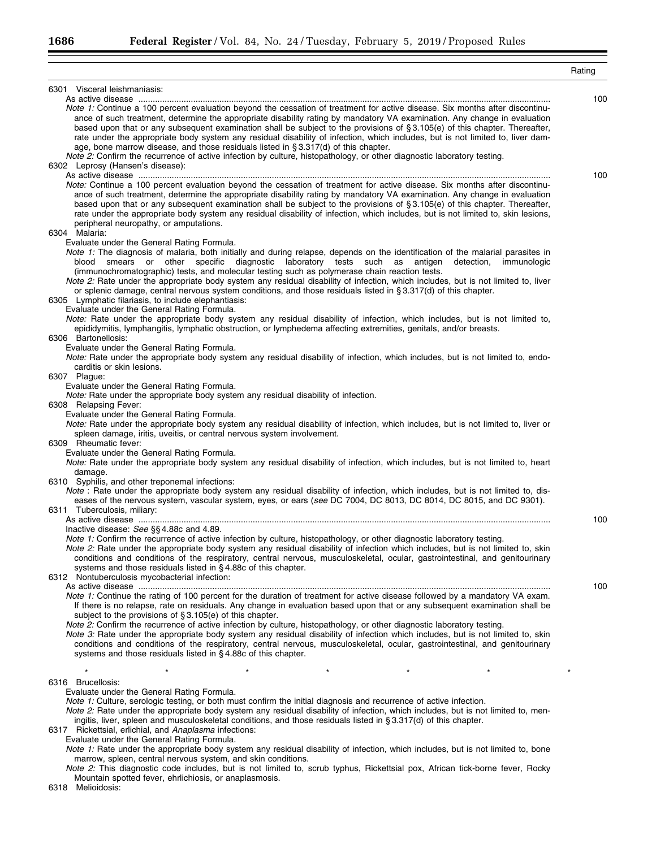|                                                                                                                                                                                                                                                                                                                                                                                                                                                                                                                                                                                                                                                                                                                                                  | Rating |
|--------------------------------------------------------------------------------------------------------------------------------------------------------------------------------------------------------------------------------------------------------------------------------------------------------------------------------------------------------------------------------------------------------------------------------------------------------------------------------------------------------------------------------------------------------------------------------------------------------------------------------------------------------------------------------------------------------------------------------------------------|--------|
| 6301 Visceral leishmaniasis:                                                                                                                                                                                                                                                                                                                                                                                                                                                                                                                                                                                                                                                                                                                     |        |
| Note 1: Continue a 100 percent evaluation beyond the cessation of treatment for active disease. Six months after discontinu-<br>ance of such treatment, determine the appropriate disability rating by mandatory VA examination. Any change in evaluation<br>based upon that or any subsequent examination shall be subject to the provisions of §3.105(e) of this chapter. Thereafter,<br>rate under the appropriate body system any residual disability of infection, which includes, but is not limited to, liver dam-<br>age, bone marrow disease, and those residuals listed in §3.317(d) of this chapter.<br>Note 2: Confirm the recurrence of active infection by culture, histopathology, or other diagnostic laboratory testing.        | 100    |
| 6302 Leprosy (Hansen's disease):                                                                                                                                                                                                                                                                                                                                                                                                                                                                                                                                                                                                                                                                                                                 |        |
| Note: Continue a 100 percent evaluation beyond the cessation of treatment for active disease. Six months after discontinu-<br>ance of such treatment, determine the appropriate disability rating by mandatory VA examination. Any change in evaluation<br>based upon that or any subsequent examination shall be subject to the provisions of §3.105(e) of this chapter. Thereafter,<br>rate under the appropriate body system any residual disability of infection, which includes, but is not limited to, skin lesions,<br>peripheral neuropathy, or amputations.<br>6304 Malaria:                                                                                                                                                            | 100    |
| Evaluate under the General Rating Formula.<br>Note 1: The diagnosis of malaria, both initially and during relapse, depends on the identification of the malarial parasites in<br>blood smears or other specific diagnostic laboratory tests such as antigen detection, immunologic<br>(immunochromatographic) tests, and molecular testing such as polymerase chain reaction tests.<br>Note 2: Rate under the appropriate body system any residual disability of infection, which includes, but is not limited to, liver<br>or splenic damage, central nervous system conditions, and those residuals listed in §3.317(d) of this chapter.<br>6305 Lymphatic filariasis, to include elephantiasis:<br>Evaluate under the General Rating Formula. |        |
| Note: Rate under the appropriate body system any residual disability of infection, which includes, but is not limited to,<br>epididymitis, lymphangitis, lymphatic obstruction, or lymphedema affecting extremities, genitals, and/or breasts.<br>6306 Bartonellosis:                                                                                                                                                                                                                                                                                                                                                                                                                                                                            |        |
| Evaluate under the General Rating Formula.<br>Note: Rate under the appropriate body system any residual disability of infection, which includes, but is not limited to, endo-<br>carditis or skin lesions.<br>6307 Plague:                                                                                                                                                                                                                                                                                                                                                                                                                                                                                                                       |        |
| Evaluate under the General Rating Formula.<br><i>Note:</i> Rate under the appropriate body system any residual disability of infection.<br>6308 Relapsing Fever:<br>Evaluate under the General Rating Formula.                                                                                                                                                                                                                                                                                                                                                                                                                                                                                                                                   |        |
| Note: Rate under the appropriate body system any residual disability of infection, which includes, but is not limited to, liver or<br>spleen damage, iritis, uveitis, or central nervous system involvement.<br>6309 Rheumatic fever:                                                                                                                                                                                                                                                                                                                                                                                                                                                                                                            |        |
| Evaluate under the General Rating Formula.<br>Note: Rate under the appropriate body system any residual disability of infection, which includes, but is not limited to, heart<br>damage.<br>6310 Syphilis, and other treponemal infections:                                                                                                                                                                                                                                                                                                                                                                                                                                                                                                      |        |
| Note : Rate under the appropriate body system any residual disability of infection, which includes, but is not limited to, dis-<br>eases of the nervous system, vascular system, eyes, or ears (see DC 7004, DC 8013, DC 8014, DC 8015, and DC 9301).<br>6311 Tuberculosis, miliary:                                                                                                                                                                                                                                                                                                                                                                                                                                                             |        |
| Inactive disease: See §§ 4.88c and 4.89.                                                                                                                                                                                                                                                                                                                                                                                                                                                                                                                                                                                                                                                                                                         | 100    |
| Note 1: Confirm the recurrence of active infection by culture, histopathology, or other diagnostic laboratory testing.<br>Note 2: Rate under the appropriate body system any residual disability of infection which includes, but is not limited to, skin<br>conditions and conditions of the respiratory, central nervous, musculoskeletal, ocular, gastrointestinal, and genitourinary<br>systems and those residuals listed in §4.88c of this chapter.<br>6312 Nontuberculosis mycobacterial infection:                                                                                                                                                                                                                                       |        |
| Note 1: Continue the rating of 100 percent for the duration of treatment for active disease followed by a mandatory VA exam.<br>If there is no relapse, rate on residuals. Any change in evaluation based upon that or any subsequent examination shall be<br>subject to the provisions of $\S 3.105(e)$ of this chapter.                                                                                                                                                                                                                                                                                                                                                                                                                        | 100    |
| Note 2: Confirm the recurrence of active infection by culture, histopathology, or other diagnostic laboratory testing.<br>Note 3: Rate under the appropriate body system any residual disability of infection which includes, but is not limited to, skin<br>conditions and conditions of the respiratory, central nervous, musculoskeletal, ocular, gastrointestinal, and genitourinary<br>systems and those residuals listed in §4.88c of this chapter.                                                                                                                                                                                                                                                                                        |        |
| $\star$<br>$\star$<br>*                                                                                                                                                                                                                                                                                                                                                                                                                                                                                                                                                                                                                                                                                                                          |        |
| 6316 Brucellosis:<br>Evaluate under the General Rating Formula.<br>Note 1: Culture, serologic testing, or both must confirm the initial diagnosis and recurrence of active infection.<br>Note 2: Rate under the appropriate body system any residual disability of infection, which includes, but is not limited to, men-<br>ingitis, liver, spleen and musculoskeletal conditions, and those residuals listed in §3.317(d) of this chapter.<br>6317 Rickettsial, erlichial, and Anaplasma infections:<br>Evaluate under the General Rating Formula.<br>Note 1: Rate under the appropriate body system any residual disability of infection, which includes, but is not limited to, bone                                                         |        |
| marrow, spleen, central nervous system, and skin conditions.                                                                                                                                                                                                                                                                                                                                                                                                                                                                                                                                                                                                                                                                                     |        |

*Note 2:* This diagnostic code includes, but is not limited to, scrub typhus, Rickettsial pox, African tick-borne fever, Rocky

Mountain spotted fever, ehrlichiosis, or anaplasmosis.

6318 Melioidosis:

۳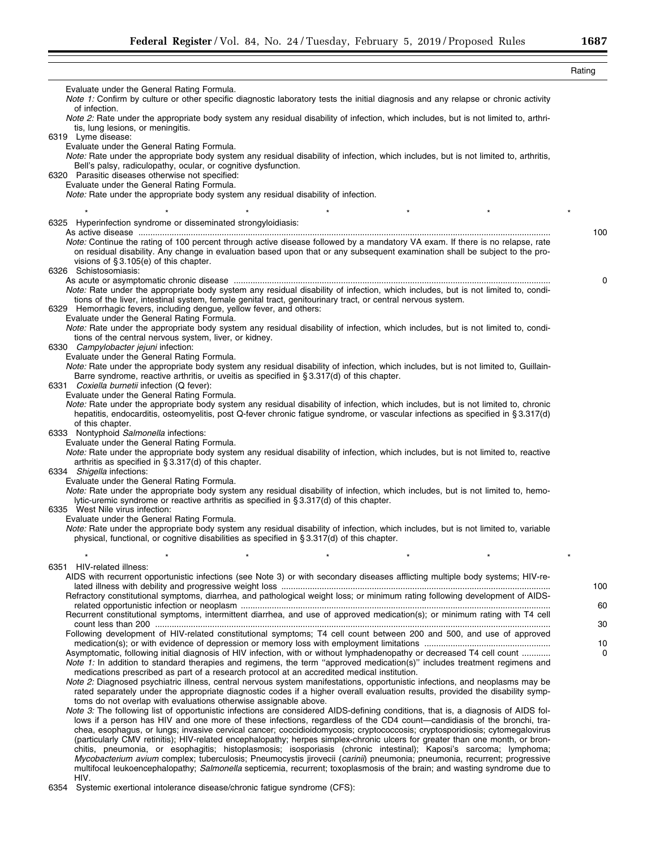|                                                                                                                                                                                                                                                                                                                                                                                                                                                                                                              | Rating    |
|--------------------------------------------------------------------------------------------------------------------------------------------------------------------------------------------------------------------------------------------------------------------------------------------------------------------------------------------------------------------------------------------------------------------------------------------------------------------------------------------------------------|-----------|
| Evaluate under the General Rating Formula.<br>Note 1: Confirm by culture or other specific diagnostic laboratory tests the initial diagnosis and any relapse or chronic activity                                                                                                                                                                                                                                                                                                                             |           |
| of infection.<br>Note 2: Rate under the appropriate body system any residual disability of infection, which includes, but is not limited to, arthri-                                                                                                                                                                                                                                                                                                                                                         |           |
| tis, lung lesions, or meningitis.<br>6319 Lyme disease:                                                                                                                                                                                                                                                                                                                                                                                                                                                      |           |
| Evaluate under the General Rating Formula.<br>Note: Rate under the appropriate body system any residual disability of infection, which includes, but is not limited to, arthritis,<br>Bell's palsy, radiculopathy, ocular, or cognitive dysfunction.                                                                                                                                                                                                                                                         |           |
| 6320 Parasitic diseases otherwise not specified:<br>Evaluate under the General Rating Formula.<br>Note: Rate under the appropriate body system any residual disability of infection.                                                                                                                                                                                                                                                                                                                         |           |
| $\star$<br>$\star$<br>$\star$                                                                                                                                                                                                                                                                                                                                                                                                                                                                                |           |
| 6325 Hyperinfection syndrome or disseminated strongyloidiasis:                                                                                                                                                                                                                                                                                                                                                                                                                                               |           |
| Note: Continue the rating of 100 percent through active disease followed by a mandatory VA exam. If there is no relapse, rate<br>on residual disability. Any change in evaluation based upon that or any subsequent examination shall be subject to the pro-<br>visions of $\S 3.105(e)$ of this chapter.                                                                                                                                                                                                    | 100       |
| 6326 Schistosomiasis:                                                                                                                                                                                                                                                                                                                                                                                                                                                                                        | 0         |
| Note: Rate under the appropriate body system any residual disability of infection, which includes, but is not limited to, condi-<br>tions of the liver, intestinal system, female genital tract, genitourinary tract, or central nervous system.<br>6329 Hemorrhagic fevers, including dengue, yellow fever, and others:                                                                                                                                                                                     |           |
| Evaluate under the General Rating Formula.<br>Note: Rate under the appropriate body system any residual disability of infection, which includes, but is not limited to, condi-<br>tions of the central nervous system, liver, or kidney.                                                                                                                                                                                                                                                                     |           |
| 6330 Campylobacter jejuni infection:<br>Evaluate under the General Rating Formula.                                                                                                                                                                                                                                                                                                                                                                                                                           |           |
| Note: Rate under the appropriate body system any residual disability of infection, which includes, but is not limited to, Guillain-                                                                                                                                                                                                                                                                                                                                                                          |           |
| Barre syndrome, reactive arthritis, or uveitis as specified in §3.317(d) of this chapter.<br>6331 <i>Coxiella burnetii</i> infection (Q fever):                                                                                                                                                                                                                                                                                                                                                              |           |
| Evaluate under the General Rating Formula.                                                                                                                                                                                                                                                                                                                                                                                                                                                                   |           |
| Note: Rate under the appropriate body system any residual disability of infection, which includes, but is not limited to, chronic<br>hepatitis, endocarditis, osteomyelitis, post Q-fever chronic fatigue syndrome, or vascular infections as specified in §3.317(d)<br>of this chapter.                                                                                                                                                                                                                     |           |
| 6333 Nontyphoid Salmonella infections:                                                                                                                                                                                                                                                                                                                                                                                                                                                                       |           |
| Evaluate under the General Rating Formula.<br>Note: Rate under the appropriate body system any residual disability of infection, which includes, but is not limited to, reactive<br>arthritis as specified in §3.317(d) of this chapter.                                                                                                                                                                                                                                                                     |           |
| 6334 Shigella infections:<br>Evaluate under the General Rating Formula.                                                                                                                                                                                                                                                                                                                                                                                                                                      |           |
| Note: Rate under the appropriate body system any residual disability of infection, which includes, but is not limited to, hemo-<br>lytic-uremic syndrome or reactive arthritis as specified in §3.317(d) of this chapter.                                                                                                                                                                                                                                                                                    |           |
| 6335 West Nile virus infection:<br>Evaluate under the General Rating Formula.                                                                                                                                                                                                                                                                                                                                                                                                                                |           |
| Note: Rate under the appropriate body system any residual disability of infection, which includes, but is not limited to, variable<br>physical, functional, or cognitive disabilities as specified in §3.317(d) of this chapter.                                                                                                                                                                                                                                                                             |           |
|                                                                                                                                                                                                                                                                                                                                                                                                                                                                                                              |           |
| 6351 HIV-related illness:<br>AIDS with recurrent opportunistic infections (see Note 3) or with secondary diseases afflicting multiple body systems; HIV-re-                                                                                                                                                                                                                                                                                                                                                  |           |
| Refractory constitutional symptoms, diarrhea, and pathological weight loss; or minimum rating following development of AIDS-                                                                                                                                                                                                                                                                                                                                                                                 | 100<br>60 |
| Recurrent constitutional symptoms, intermittent diarrhea, and use of approved medication(s); or minimum rating with T4 cell                                                                                                                                                                                                                                                                                                                                                                                  |           |
| Following development of HIV-related constitutional symptoms; T4 cell count between 200 and 500, and use of approved                                                                                                                                                                                                                                                                                                                                                                                         | 30<br>10  |
| Asymptomatic, following initial diagnosis of HIV infection, with or without lymphadenopathy or decreased T4 cell count<br>Note 1: In addition to standard therapies and regimens, the term "approved medication(s)" includes treatment regimens and<br>medications prescribed as part of a research protocol at an accredited medical institution.                                                                                                                                                           | 0         |
| Note 2: Diagnosed psychiatric illness, central nervous system manifestations, opportunistic infections, and neoplasms may be<br>rated separately under the appropriate diagnostic codes if a higher overall evaluation results, provided the disability symp-<br>toms do not overlap with evaluations otherwise assignable above.                                                                                                                                                                            |           |
| Note 3: The following list of opportunistic infections are considered AIDS-defining conditions, that is, a diagnosis of AIDS fol-<br>lows if a person has HIV and one more of these infections, regardless of the CD4 count—candidiasis of the bronchi, tra-                                                                                                                                                                                                                                                 |           |
| chea, esophagus, or lungs; invasive cervical cancer; coccidioidomycosis; cryptococcosis; cryptosporidiosis; cytomegalovirus<br>(particularly CMV retinitis); HIV-related encephalopathy; herpes simplex-chronic ulcers for greater than one month, or bron-<br>chitis, pneumonia, or esophagitis; histoplasmosis; isosporiasis (chronic intestinal); Kaposi's sarcoma; lymphoma;<br>Mycobacterium avium complex; tuberculosis; Pneumocystis jirovecii (carinii) pneumonia; pneumonia, recurrent; progressive |           |
| multifocal leukoencephalopathy; Salmonella septicemia, recurrent; toxoplasmosis of the brain; and wasting syndrome due to<br>HIV.                                                                                                                                                                                                                                                                                                                                                                            |           |

6354 Systemic exertional intolerance disease/chronic fatigue syndrome (CFS):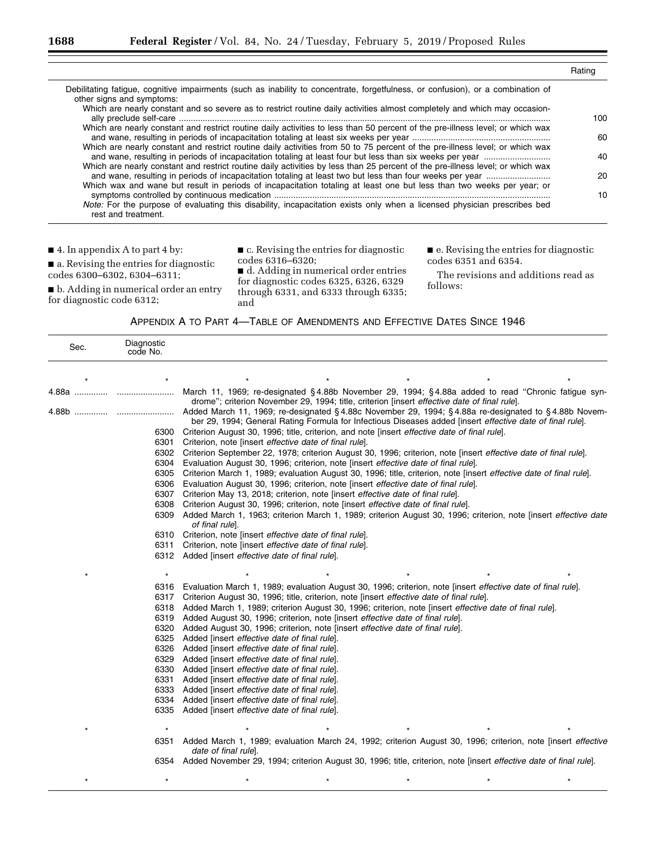|                                                                                                                                                               | Rating |
|---------------------------------------------------------------------------------------------------------------------------------------------------------------|--------|
| Debilitating fatigue, cognitive impairments (such as inability to concentrate, forgetfulness, or confusion), or a combination of<br>other signs and symptoms: |        |
| Which are nearly constant and so severe as to restrict routine daily activities almost completely and which may occasion-                                     | 100.   |
| Which are nearly constant and restrict routine daily activities to less than 50 percent of the pre-illness level; or which wax                                | 60     |
| Which are nearly constant and restrict routine daily activities from 50 to 75 percent of the pre-illness level; or which wax                                  | 40     |
| Which are nearly constant and restrict routine daily activities by less than 25 percent of the pre-illness level; or which wax                                | 20     |
| Which wax and wane but result in periods of incapacitation totaling at least one but less than two weeks per year; or                                         | 10     |
| Note: For the purpose of evaluating this disability, incapacitation exists only when a licensed physician prescribes bed<br>rest and treatment.               |        |

■ 4. In appendix A to part 4 by:

 $\blacksquare$  a. Revising the entries for diagnostic codes 6300–6302, 6304–6311;

■ b. Adding in numerical order an entry for diagnostic code 6312;

■ c. Revising the entries for diagnostic codes 6316–6320;

■ d. Adding in numerical order entries for diagnostic codes 6325, 6326, 6329 through 6331, and 6333 through 6335; and

■ e. Revising the entries for diagnostic codes 6351 and 6354.

The revisions and additions read as follows:

| APPENDIX A TO PART 4-TABLE OF AMENDMENTS AND EFFECTIVE DATES SINCE 1946 |  |
|-------------------------------------------------------------------------|--|
|-------------------------------------------------------------------------|--|

| Sec.       | Diagnostic<br>code No. |                                                                                                                                                                                                                     |
|------------|------------------------|---------------------------------------------------------------------------------------------------------------------------------------------------------------------------------------------------------------------|
|            |                        |                                                                                                                                                                                                                     |
| 4.88a      |                        | March 11, 1969; re-designated §4.88b November 29, 1994; §4.88a added to read "Chronic fatigue syn-<br>drome"; criterion November 29, 1994; title, criterion [insert <i>effective date of final rule</i> ].          |
| 4.88b<br>. |                        | Added March 11, 1969; re-designated § 4.88c November 29, 1994; § 4.88a re-designated to § 4.88b Novem-<br>ber 29, 1994; General Rating Formula for Infectious Diseases added [insert effective date of final rule]. |
|            | 6300                   | Criterion August 30, 1996; title, criterion, and note [insert <i>effective date of final rule</i> ].                                                                                                                |
|            | 6301                   | Criterion, note linsert effective date of final rule.                                                                                                                                                               |
|            | 6302                   | Criterion September 22, 1978; criterion August 30, 1996; criterion, note [insert effective date of final rule].                                                                                                     |
|            | 6304                   | Evaluation August 30, 1996; criterion, note [insert effective date of final rule].                                                                                                                                  |
|            | 6305<br>6306           | Criterion March 1, 1989; evaluation August 30, 1996; title, criterion, note [insert effective date of final rule].<br>Evaluation August 30, 1996; criterion, note [insert effective date of final rule].            |
|            | 6307                   | Criterion May 13, 2018; criterion, note [insert effective date of final rule].                                                                                                                                      |
|            | 6308                   | Criterion August 30, 1996; criterion, note [insert effective date of final rule].                                                                                                                                   |
|            | 6309                   | Added March 1, 1963; criterion March 1, 1989; criterion August 30, 1996; criterion, note [insert effective date<br>of final rule].                                                                                  |
|            | 6310                   | Criterion, note [insert effective date of final rule].                                                                                                                                                              |
|            | 6311                   | Criterion, note [insert effective date of final rule].                                                                                                                                                              |
|            |                        | 6312 Added [insert effective date of final rule].                                                                                                                                                                   |
|            | $\star$                |                                                                                                                                                                                                                     |
|            | 6316                   | Evaluation March 1, 1989; evaluation August 30, 1996; criterion, note [insert effective date of final rule].                                                                                                        |
|            | 6317                   | Criterion August 30, 1996; title, criterion, note [insert effective date of final rule].                                                                                                                            |
|            | 6318                   | Added March 1, 1989; criterion August 30, 1996; criterion, note [insert effective date of final rule].                                                                                                              |
|            | 6319                   | Added August 30, 1996; criterion, note [insert effective date of final rule].                                                                                                                                       |
|            | 6320                   | Added August 30, 1996; criterion, note [insert <i>effective date of final rule</i> ].                                                                                                                               |
|            | 6325                   | Added [insert effective date of final rule].                                                                                                                                                                        |
|            | 6326                   | Added [insert effective date of final rule].                                                                                                                                                                        |
|            | 6329                   | Added [insert effective date of final rule].                                                                                                                                                                        |
|            | 6330                   | Added [insert effective date of final rule].                                                                                                                                                                        |
|            | 6331                   | Added [insert effective date of final rule].                                                                                                                                                                        |
|            | 6333                   | Added [insert effective date of final rule].                                                                                                                                                                        |
|            | 6334                   | Added [insert effective date of final rule].                                                                                                                                                                        |
|            | 6335                   | Added [insert effective date of final rule].                                                                                                                                                                        |
|            |                        |                                                                                                                                                                                                                     |
|            | 6351                   | Added March 1, 1989; evaluation March 24, 1992; criterion August 30, 1996; criterion, note [insert <i>effective</i><br>date of final rule].                                                                         |
|            |                        | 6354 Added November 29, 1994; criterion August 30, 1996; title, criterion, note [insert <i>effective date of final rule</i> ].                                                                                      |

\*\*\*\*\*\*\*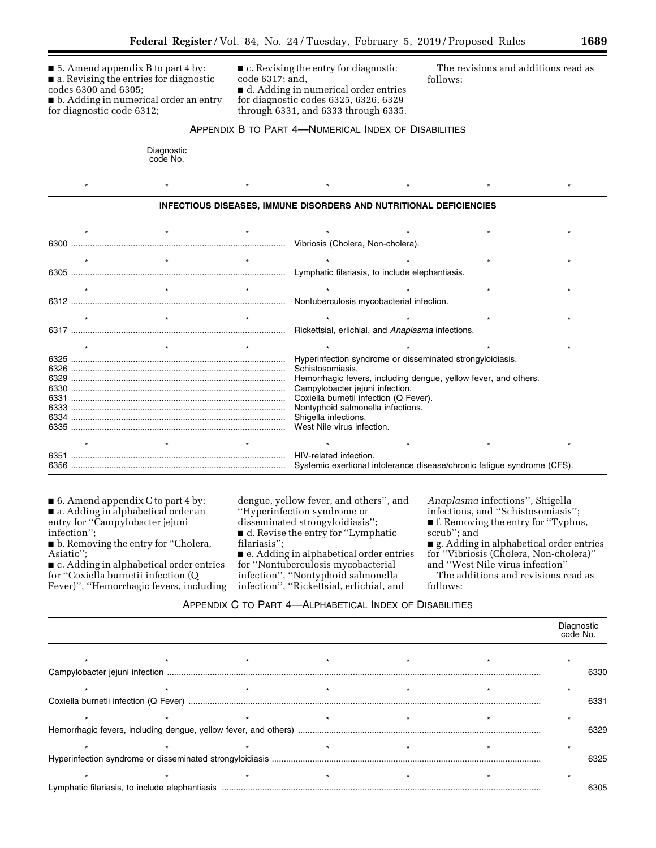■ 5. Amend appendix B to part 4 by: ■ a. Revising the entries for diagnostic codes 6300 and 6305;

■ b. Adding in numerical order an entry for diagnostic code 6312;

■ c. Revising the entry for diagnostic code 6317; and, ■ d. Adding in numerical order entries for diagnostic codes 6325, 6326, 6329

through 6331, and 6333 through 6335.

The revisions and additions read as follows:

## APPENDIX B TO PART 4—NUMERICAL INDEX OF DISABILITIES

|      | Diagnostic<br>code No. |                                                                           |                                          |                                                           |                                                                         |  |  |
|------|------------------------|---------------------------------------------------------------------------|------------------------------------------|-----------------------------------------------------------|-------------------------------------------------------------------------|--|--|
|      |                        |                                                                           |                                          |                                                           |                                                                         |  |  |
|      |                        | <b>INFECTIOUS DISEASES, IMMUNE DISORDERS AND NUTRITIONAL DEFICIENCIES</b> |                                          |                                                           |                                                                         |  |  |
|      |                        |                                                                           |                                          |                                                           |                                                                         |  |  |
|      |                        |                                                                           |                                          |                                                           |                                                                         |  |  |
|      |                        |                                                                           |                                          |                                                           |                                                                         |  |  |
|      |                        |                                                                           |                                          |                                                           |                                                                         |  |  |
|      |                        |                                                                           |                                          |                                                           |                                                                         |  |  |
|      |                        |                                                                           | Nontuberculosis mycobacterial infection. |                                                           |                                                                         |  |  |
|      |                        |                                                                           |                                          |                                                           |                                                                         |  |  |
|      |                        |                                                                           |                                          | Rickettsial, erlichial, and Anaplasma infections.         |                                                                         |  |  |
|      |                        |                                                                           |                                          |                                                           |                                                                         |  |  |
|      |                        |                                                                           |                                          | Hyperinfection syndrome or disseminated strongyloidiasis. |                                                                         |  |  |
| 6326 |                        |                                                                           | Schistosomiasis.                         |                                                           |                                                                         |  |  |
|      |                        |                                                                           |                                          |                                                           | Hemorrhagic fevers, including dengue, yellow fever, and others.         |  |  |
|      |                        |                                                                           | Campylobacter jejuni infection.          |                                                           |                                                                         |  |  |
|      |                        |                                                                           | Coxiella burnetii infection (Q Fever).   |                                                           |                                                                         |  |  |
|      |                        |                                                                           | Nontyphoid salmonella infections.        |                                                           |                                                                         |  |  |
|      |                        |                                                                           | Shigella infections.                     |                                                           |                                                                         |  |  |
|      |                        |                                                                           | West Nile virus infection.               |                                                           |                                                                         |  |  |
|      |                        |                                                                           |                                          |                                                           |                                                                         |  |  |
|      |                        |                                                                           |                                          |                                                           |                                                                         |  |  |
|      |                        |                                                                           |                                          |                                                           | Systemic exertional intolerance disease/chronic fatigue syndrome (CFS). |  |  |

■ 6. Amend appendix C to part 4 by: ■ a. Adding in alphabetical order an entry for ''Campylobacter jejuni infection'';

■ b. Removing the entry for "Cholera, Asiatic'';

■ c. Adding in alphabetical order entries for ''Coxiella burnetii infection (Q Fever)'', ''Hemorrhagic fevers, including dengue, yellow fever, and others'', and ''Hyperinfection syndrome or disseminated strongyloidiasis''; ■ d. Revise the entry for "Lymphatic

filariasis'';

■ e. Adding in alphabetical order entries for ''Nontuberculosis mycobacterial infection'', ''Nontyphoid salmonella infection'', ''Rickettsial, erlichial, and

*Anaplasma* infections'', Shigella

infections, and ''Schistosomiasis'';

■ f. Removing the entry for "Typhus, scrub''; and

■ g. Adding in alphabetical order entries for ''Vibriosis (Cholera, Non-cholera)'' and ''West Nile virus infection''

The additions and revisions read as follows:

## APPENDIX C TO PART 4—ALPHABETICAL INDEX OF DISABILITIES

|  |  |  | Diagnostic<br>code No. |
|--|--|--|------------------------|
|  |  |  |                        |
|  |  |  | 6330                   |
|  |  |  |                        |
|  |  |  | 6331                   |
|  |  |  |                        |
|  |  |  | 6329                   |
|  |  |  |                        |
|  |  |  | 6325                   |
|  |  |  |                        |
|  |  |  | 6305                   |